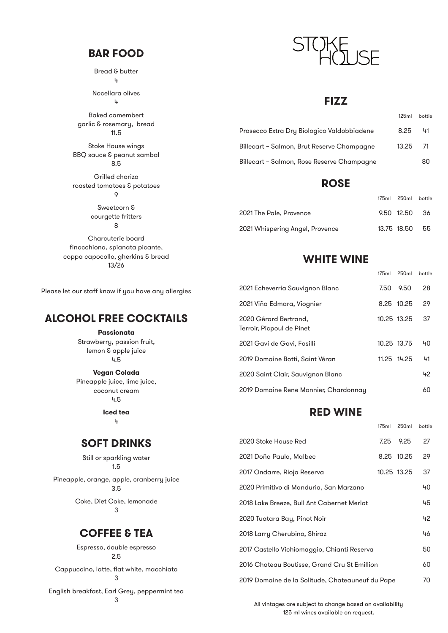### **BAR FOOD**

Bread & butter 4

Nocellara olives 4

Baked camembert garlic & rosemary, bread 11.5

Stoke House wings BBQ sauce & peanut sambal 8.5

Grilled chorizo roasted tomatoes & potatoes 9

> Sweetcorn & courgette fritters 8

Charcuterie board finocchiona, spianata picante, coppa capocollo, gherkins & bread 13/26

Please let our staff know if you have any allergies

# **ALCOHOL FREE COCKTAILS**

**Passionata**

Strawberry, passion fruit, lemon & apple juice 4.5

**Vegan Colada** Pineapple juice, lime juice, coconut cream 4.5

> **Iced tea** 4

### **SOFT DRINKS**

Still or sparkling water 1.5 Pineapple, orange, apple, cranberry juice 3.5 Coke, Diet Coke, lemonade

3

### **COFFEE & TEA**

Espresso, double espresso 2.5

Cappuccino, latte, flat white, macchiato 3

English breakfast, Earl Grey, peppermint tea



#### **FIZZ**

|                                            | 125ml bottle |    |
|--------------------------------------------|--------------|----|
| Prosecco Extra Dru Biologico Valdobbiadene | 8.25         | 41 |
| Billecart – Salmon, Brut Reserve Champagne | 13.25 71     |    |
| Billecart – Salmon, Rose Reserve Champagne |              | 80 |

### **ROSE**

|                                 | 175ml 250ml bottle |      |
|---------------------------------|--------------------|------|
| 2021 The Pale, Provence         | 9.50 12.50         | - 36 |
| 2021 Whispering Angel, Provence | 13.75 18.50        | 55   |

## **WHITE WINE**

175ml 250ml bottle

| 2021 Echeverria Sauvignon Blanc                    |             | 7.50 9.50   | 28 |
|----------------------------------------------------|-------------|-------------|----|
| 2021 Viña Edmara, Viognier                         |             | 8.25 10.25  | 29 |
| 2020 Gérard Bertrand,<br>Terroir, Picpoul de Pinet | 10.25 13.25 |             | 37 |
| 2021 Gavi de Gavi, Fosilli                         | 10.25 13.75 |             | 40 |
| 2019 Domaine Botti, Saint Véran                    |             | 11.25 14.25 | 41 |
| 2020 Saint Clair, Sauvignon Blanc                  |             |             | 42 |
| 2019 Domaine Rene Monnier, Chardonnay              |             |             | 60 |

# **RED WINE**

|                                                  | 175ml | 250 <sub>ml</sub> | bottle |
|--------------------------------------------------|-------|-------------------|--------|
| 2020 Stoke House Red                             | 7.25  | 9.25              | 27     |
| 2021 Doña Paula, Malbec                          |       | 8.25 10.25        | 29     |
| 2017 Ondarre, Rioja Reserva                      |       | 10.25 13.25       | 37     |
| 2020 Primitivo di Manduria, San Marzano          |       |                   | 40     |
| 2018 Lake Breeze, Bull Ant Cabernet Merlot       |       |                   | 45     |
| 2020 Tuatara Bay, Pinot Noir                     |       |                   | 42     |
| 2018 Larry Cherubino, Shiraz                     |       |                   | 46     |
| 2017 Castello Vichiomaggio, Chianti Reserva      |       |                   | 50     |
| 2016 Chateau Boutisse, Grand Cru St Emillion     |       |                   | 60     |
| 2019 Domaine de la Solitude, Chateauneuf du Pape |       |                   | 70     |

All vintages are subject to change based on availability 125 ml wines available on request.